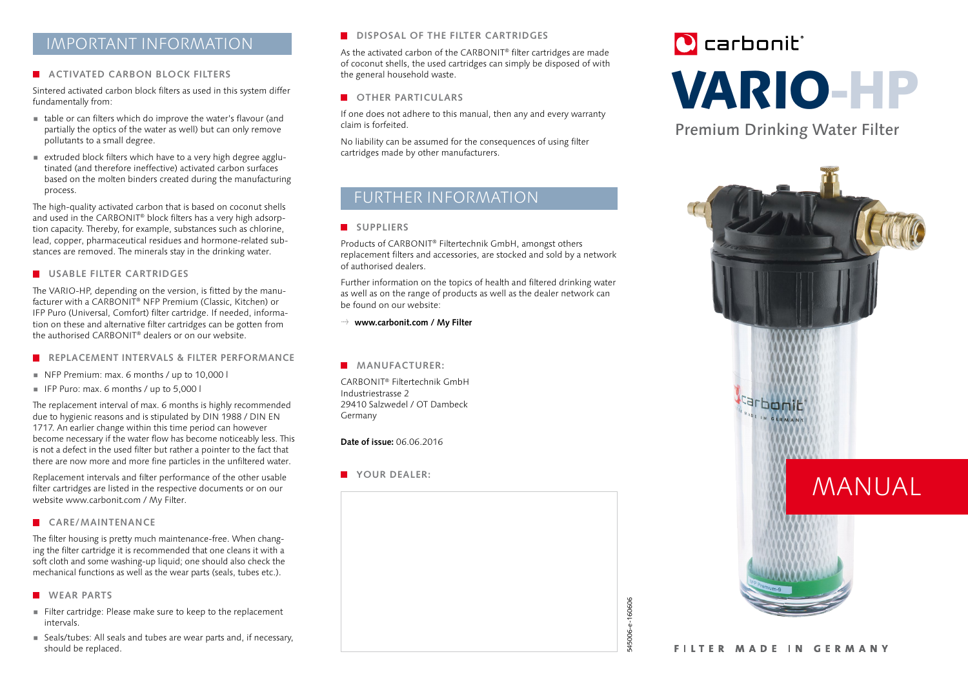# IMPORTANT INFORMATION

#### **ACTIVATED CARBON BLOCK FILTERS**

Sintered activated carbon block filters as used in this system differ fundamentally from:

- $\blacksquare$  table or can filters which do improve the water's flavour (and partially the optics of the water as well) but can only remove pollutants to a small degree.
- $\blacksquare$  extruded block filters which have to a very high degree agglutinated (and therefore ineffective) activated carbon surfaces based on the molten binders created during the manufacturing process.

The high-quality activated carbon that is based on coconut shells and used in the CARBONIT® block filters has a very high adsorption capacity. Thereby, for example, substances such as chlorine, lead, copper, pharmaceutical residues and hormone-related substances are removed. The minerals stay in the drinking water.

#### **USABLE FILTER CARTRIDGES**

The VARIO-HP, depending on the version, is fitted by the manufacturer with a CARBONIT® NFP Premium (Classic, Kitchen) or IFP Puro (Universal, Comfort) filter cartridge. If needed, information on these and alternative filter cartridges can be gotten from the authorised CARBONIT® dealers or on our website.

- **REPLACEMENT INTERVALS & FILTER PERFORMANCE**
- $\blacksquare$  NFP Premium: max. 6 months / up to 10,000 l
- F IFP Puro: max. 6 months / up to  $5,000$  l

The replacement interval of max. 6 months is highly recommended due to hygienic reasons and is stipulated by DIN 1988 / DIN EN 1717. An earlier change within this time period can however become necessary if the water flow has become noticeably less. This is not a defect in the used filter but rather a pointer to the fact that there are now more and more fine particles in the unfiltered water.

Replacement intervals and filter performance of the other usable filter cartridges are listed in the respective documents or on our website www.carbonit.com / My Filter.

#### **CARE/MAINTENANCE**

The filter housing is pretty much maintenance-free. When changing the filter cartridge it is recommended that one cleans it with a soft cloth and some washing-up liquid; one should also check the mechanical functions as well as the wear parts (seals, tubes etc.).

- **WEAR PARTS**
- Filter cartridge: Please make sure to keep to the replacement intervals.
- **EXEC** Seals/tubes: All seals and tubes are wear parts and, if necessary, should be replaced.

#### **DISPOSAL OF THE FILTER CARTRIDGES**

As the activated carbon of the CARBONIT® filter cartridges are made of coconut shells, the used cartridges can simply be disposed of with the general household waste.

## **COTHER PARTICULARS**

If one does not adhere to this manual, then any and every warranty claim is forfeited.

No liability can be assumed for the consequences of using filter cartridges made by other manufacturers.

# FURTHER INFORMATION

#### **SUPPLIERS**

Products of CARBONIT® Filtertechnik GmbH, amongst others replacement filters and accessories, are stocked and sold by a network of authorised dealers.

Further information on the topics of health and filtered drinking water as well as on the range of products as well as the dealer network can be found on our website:

→ www.carbonit.com / My Filter

#### **MANUFACTURER:**

CARBONIT® Filtertechnik GmbH Industriestrasse 2 29410 Salzwedel / OT Dambeck Germany

**Date of issue:** 06.06.2016



# **O** carbonit VARIO-HP

Premium Drinking Water Filter